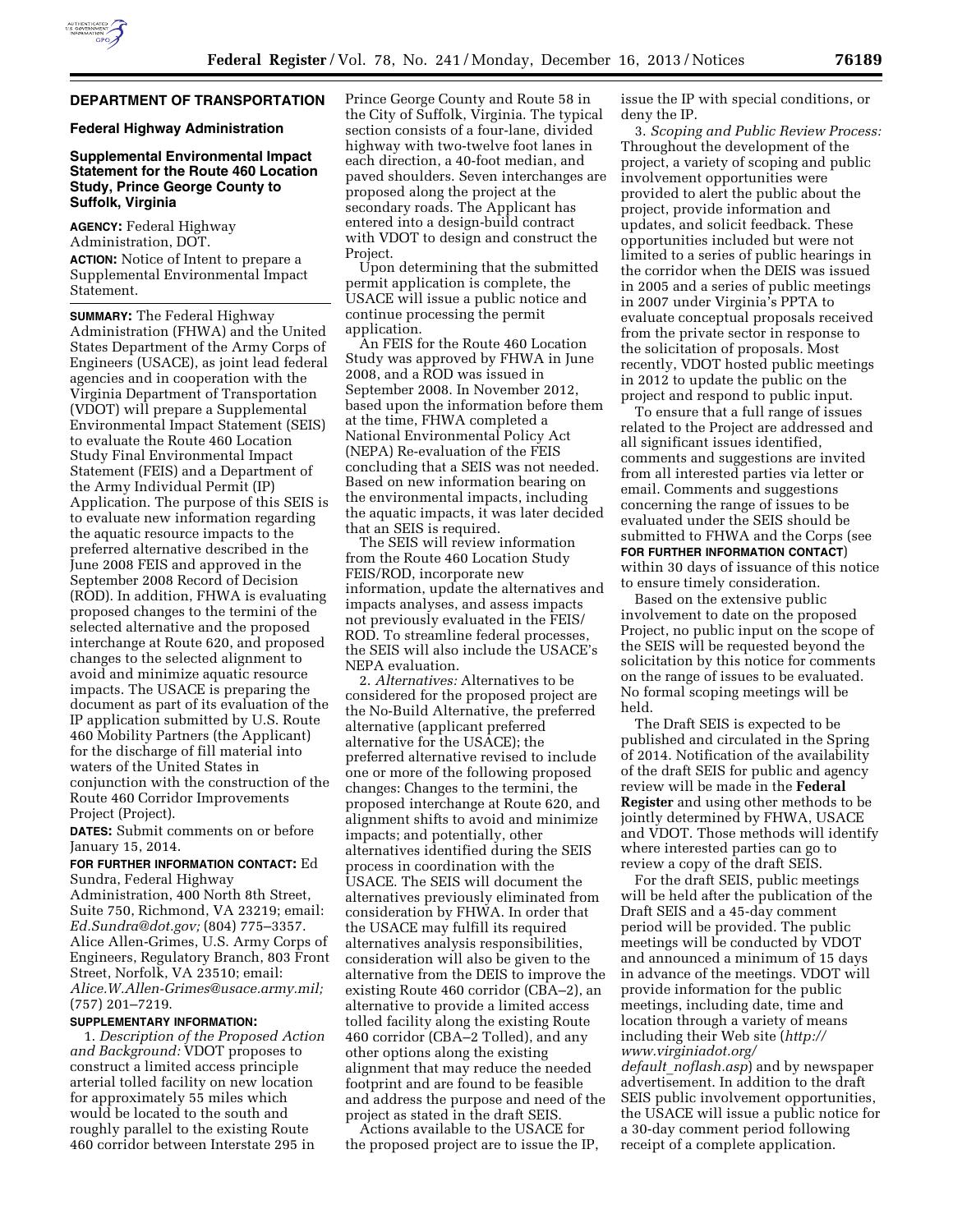

# **DEPARTMENT OF TRANSPORTATION**

## **Federal Highway Administration**

# **Supplemental Environmental Impact Statement for the Route 460 Location Study, Prince George County to Suffolk, Virginia**

**AGENCY:** Federal Highway Administration, DOT. **ACTION:** Notice of Intent to prepare a Supplemental Environmental Impact Statement.

**SUMMARY:** The Federal Highway Administration (FHWA) and the United States Department of the Army Corps of Engineers (USACE), as joint lead federal agencies and in cooperation with the Virginia Department of Transportation (VDOT) will prepare a Supplemental Environmental Impact Statement (SEIS) to evaluate the Route 460 Location Study Final Environmental Impact Statement (FEIS) and a Department of the Army Individual Permit (IP) Application. The purpose of this SEIS is to evaluate new information regarding the aquatic resource impacts to the preferred alternative described in the June 2008 FEIS and approved in the September 2008 Record of Decision (ROD). In addition, FHWA is evaluating proposed changes to the termini of the selected alternative and the proposed interchange at Route 620, and proposed changes to the selected alignment to avoid and minimize aquatic resource impacts. The USACE is preparing the document as part of its evaluation of the IP application submitted by U.S. Route 460 Mobility Partners (the Applicant) for the discharge of fill material into waters of the United States in conjunction with the construction of the Route 460 Corridor Improvements Project (Project).

**DATES:** Submit comments on or before January 15, 2014.

## **FOR FURTHER INFORMATION CONTACT:** Ed Sundra, Federal Highway

Administration, 400 North 8th Street, Suite 750, Richmond, VA 23219; email: *[Ed.Sundra@dot.gov;](mailto:Ed.Sundra@dot.gov)* (804) 775–3357. Alice Allen-Grimes, U.S. Army Corps of Engineers, Regulatory Branch, 803 Front Street, Norfolk, VA 23510; email: *[Alice.W.Allen-Grimes@usace.army.mil;](mailto:Alice.W.Allen-Grimes@usace.army.mil)*  (757) 201–7219.

#### **SUPPLEMENTARY INFORMATION:**

1. *Description of the Proposed Action and Background:* VDOT proposes to construct a limited access principle arterial tolled facility on new location for approximately 55 miles which would be located to the south and roughly parallel to the existing Route 460 corridor between Interstate 295 in

Prince George County and Route 58 in the City of Suffolk, Virginia. The typical section consists of a four-lane, divided highway with two-twelve foot lanes in each direction, a 40-foot median, and paved shoulders. Seven interchanges are proposed along the project at the secondary roads. The Applicant has entered into a design-build contract with VDOT to design and construct the Project.

Upon determining that the submitted permit application is complete, the USACE will issue a public notice and continue processing the permit application.

An FEIS for the Route 460 Location Study was approved by FHWA in June 2008, and a ROD was issued in September 2008. In November 2012, based upon the information before them at the time, FHWA completed a National Environmental Policy Act (NEPA) Re-evaluation of the FEIS concluding that a SEIS was not needed. Based on new information bearing on the environmental impacts, including the aquatic impacts, it was later decided that an SEIS is required.

The SEIS will review information from the Route 460 Location Study FEIS/ROD, incorporate new information, update the alternatives and impacts analyses, and assess impacts not previously evaluated in the FEIS/ ROD. To streamline federal processes, the SEIS will also include the USACE's NEPA evaluation.

2. *Alternatives:* Alternatives to be considered for the proposed project are the No-Build Alternative, the preferred alternative (applicant preferred alternative for the USACE); the preferred alternative revised to include one or more of the following proposed changes: Changes to the termini, the proposed interchange at Route 620, and alignment shifts to avoid and minimize impacts; and potentially, other alternatives identified during the SEIS process in coordination with the USACE. The SEIS will document the alternatives previously eliminated from consideration by FHWA. In order that the USACE may fulfill its required alternatives analysis responsibilities, consideration will also be given to the alternative from the DEIS to improve the existing Route 460 corridor (CBA–2), an alternative to provide a limited access tolled facility along the existing Route 460 corridor (CBA–2 Tolled), and any other options along the existing alignment that may reduce the needed footprint and are found to be feasible and address the purpose and need of the project as stated in the draft SEIS.

Actions available to the USACE for the proposed project are to issue the IP, issue the IP with special conditions, or deny the IP.

3. *Scoping and Public Review Process:*  Throughout the development of the project, a variety of scoping and public involvement opportunities were provided to alert the public about the project, provide information and updates, and solicit feedback. These opportunities included but were not limited to a series of public hearings in the corridor when the DEIS was issued in 2005 and a series of public meetings in 2007 under Virginia's PPTA to evaluate conceptual proposals received from the private sector in response to the solicitation of proposals. Most recently, VDOT hosted public meetings in 2012 to update the public on the project and respond to public input.

To ensure that a full range of issues related to the Project are addressed and all significant issues identified, comments and suggestions are invited from all interested parties via letter or email. Comments and suggestions concerning the range of issues to be evaluated under the SEIS should be submitted to FHWA and the Corps (see **FOR FURTHER INFORMATION CONTACT**) within 30 days of issuance of this notice to ensure timely consideration.

Based on the extensive public involvement to date on the proposed Project, no public input on the scope of the SEIS will be requested beyond the solicitation by this notice for comments on the range of issues to be evaluated. No formal scoping meetings will be held.

The Draft SEIS is expected to be published and circulated in the Spring of 2014. Notification of the availability of the draft SEIS for public and agency review will be made in the **Federal Register** and using other methods to be jointly determined by FHWA, USACE and VDOT. Those methods will identify where interested parties can go to review a copy of the draft SEIS.

For the draft SEIS, public meetings will be held after the publication of the Draft SEIS and a 45-day comment period will be provided. The public meetings will be conducted by VDOT and announced a minimum of 15 days in advance of the meetings. VDOT will provide information for the public meetings, including date, time and location through a variety of means including their Web site (*[http://](http://www.virginiadot.org/default_noflash.asp)  [www.virginiadot.org/](http://www.virginiadot.org/default_noflash.asp)* 

*default*\_*[noflash.asp](http://www.virginiadot.org/default_noflash.asp)*) and by newspaper advertisement. In addition to the draft SEIS public involvement opportunities, the USACE will issue a public notice for a 30-day comment period following receipt of a complete application.